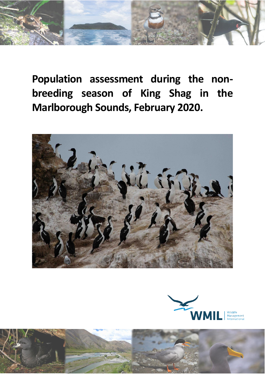

**Population assessment during the nonbreeding season of King Shag in the Marlborough Sounds, February 2020.**





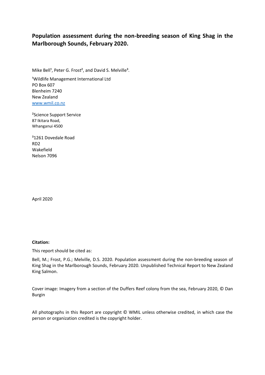### **Population assessment during the non-breeding season of King Shag in the Marlborough Sounds, February 2020.**

Mike Bell<sup>1</sup>, Peter G. Frost<sup>2</sup>, and David S. Melville<sup>3</sup>.

<sup>1</sup>Wildlife Management International Ltd PO Box 607 Blenheim 7240 New Zealand [www.wmil.co.nz](http://www.wmil.co.nz/)

²Science Support Service 87 Ikitara Road, Whanganui 4500

³1261 Dovedale Road RD2 Wakefield Nelson 7096

April 2020

#### **Citation:**

This report should be cited as:

Bell, M.; Frost, P.G.; Melville, D.S. 2020. Population assessment during the non-breeding season of King Shag in the Marlborough Sounds, February 2020. Unpublished Technical Report to New Zealand King Salmon.

Cover image: Imagery from a section of the Duffers Reef colony from the sea, February 2020, © Dan Burgin

All photographs in this Report are copyright © WMIL unless otherwise credited, in which case the person or organization credited is the copyright holder.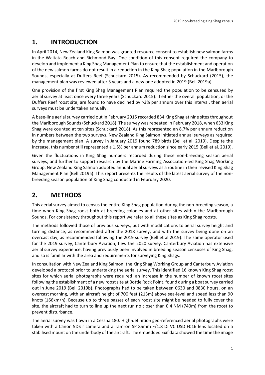# **1. INTRODUCTION**

In April 2014, New Zealand King Salmon was granted resource consent to establish new salmon farms in the Waitata Reach and Richmond Bay. One condition of this consent required the company to develop and implement a King Shag Management Plan to ensure that the establishment and operation of the new salmon farms do not result in a reduction in the King Shag population in the Marlborough Sounds, especially at Duffers Reef (Schuckard 2015). As recommended by Schuckard (2015), the management plan was reviewed after 3 years and a new one adopted in 2019 (Bell 2019a).

One provision of the first King Shag Management Plan required the population to be censused by aerial survey at least once every three years (Schuckard 2015). If either the overall population, or the Duffers Reef roost site, are found to have declined by >3% per annum over this interval, then aerial surveys must be undertaken annually.

A base-line aerial survey carried out in February 2015 recorded 834 King Shag at nine sites throughout the Marlborough Sounds (Schuckard 2018). The survey was repeated in February 2018, when 633 King Shag were counted at ten sites (Schuckard 2018). As this represented an 8.7% per annum reduction in numbers between the two surveys, New Zealand King Salmon initiated annual surveys as required by the management plan. A survey in January 2019 found 789 birds (Bell et al. 2019). Despite the increase, this number still represented a 1.5% per annum reduction since early 2015 (Bell et al. 2019).

Given the fluctuations in King Shag numbers recorded during these non-breeding season aerial surveys, and further to support research by the Marine Farming Association-led King Shag Working Group, New Zealand King Salmon adopted annual aerial surveys as a routine in their revised King Shag Management Plan (Bell 2019a). This report presents the results of the latest aerial survey of the nonbreeding season population of King Shag conducted in February 2020.

## **2. METHODS**

This aerial survey aimed to census the entire King Shag population during the non-breeding season, a time when King Shag roost both at breeding colonies and at other sites within the Marlborough Sounds. For consistency throughout this report we refer to all these sites as King Shag roosts.

The methods followed those of previous surveys, but with modifications to aerial survey height and turning distance, as recommended after the 2018 survey, and with the survey being done on an overcast day, as recommended following the 2019 survey (Bell et al 2019). The same operator used for the 2019 survey, Canterbury Aviation, flew the 2020 survey. Canterbury Aviation has extensive aerial survey experience, having previously been involved in breeding season censuses of King Shag, and so is familiar with the area and requirements for surveying King Shags.

In consultation with New Zealand King Salmon, the King Shag Working Group and Canterbury Aviation developed a protocol prior to undertaking the aerial survey. This identified 16 known King Shag roost sites for which aerial photographs were required, an increase in the number of known roost sites following the establishment of a new roost site at Bottle Rock Point, found during a boat survey carried out in June 2019 (Bell 2019b). Photographs had to be taken between 0630 and 0830 hours, on an overcast morning, with an aircraft height of 700 feet (213m) above sea-level and speed less than 90 knots (166km/h). Because up to three passes of each roost site might be needed to fully cover the site, the aircraft had to turn to line up the next run no closer than 0.4 NM (740m) from the roost to prevent disturbance.

The aerial survey was flown in a Cessna 180. High-definition geo-referenced aerial photographs were taken with a Canon 5DS r camera and a Tamron SP 85mm F/1.8 Di VC USD F016 lens located on a stabilised mount on the underbody of the aircraft. The embedded Exif data showed the time the image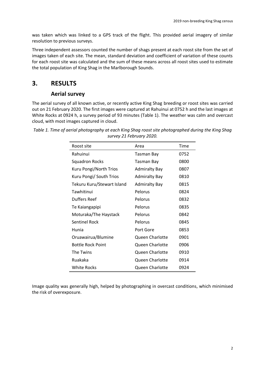was taken which was linked to a GPS track of the flight. This provided aerial imagery of similar resolution to previous surveys.

Three independent assessors counted the number of shags present at each roost site from the set of images taken of each site. The mean, standard deviation and coefficient of variation of these counts for each roost site was calculated and the sum of these means across all roost sites used to estimate the total population of King Shag in the Marlborough Sounds.

### **3. RESULTS**

#### **Aerial survey**

The aerial survey of all known active, or recently active King Shag breeding or roost sites was carried out on 21 February 2020. The first images were captured at Rahuinui at 0752 h and the last images at White Rocks at 0924 h, a survey period of 93 minutes (Table 1). The weather was calm and overcast cloud, with most images captured in cloud.

| Roost site                 | Area                   | Time |
|----------------------------|------------------------|------|
| Rahuinui                   | Tasman Bay             | 0752 |
| <b>Squadron Rocks</b>      | Tasman Bay             | 0800 |
| Kuru Pongi/North Trios     | <b>Admiralty Bay</b>   | 0807 |
| Kuru Pongi/ South Trios    | <b>Admiralty Bay</b>   | 0810 |
| Tekuru Kuru/Stewart Island | <b>Admiralty Bay</b>   | 0815 |
| Tawhitinui                 | Pelorus                | 0824 |
| Duffers Reef               | Pelorus                | 0832 |
| Te Kaiangapipi             | Pelorus                | 0835 |
| Moturaka/The Haystack      | Pelorus                | 0842 |
| <b>Sentinel Rock</b>       | Pelorus                | 0845 |
| Hunia                      | Port Gore              | 0853 |
| Oruawairua/Blumine         | Queen Charlotte        | 0901 |
| <b>Bottle Rock Point</b>   | Queen Charlotte        | 0906 |
| The Twins                  | <b>Queen Charlotte</b> | 0910 |
| Ruakaka                    | Queen Charlotte        | 0914 |
| White Rocks                | Queen Charlotte        | 0924 |

*Table 1. Time of aerial photography at each King Shag roost site photographed during the King Shag survey 21 February 2020.*

Image quality was generally high, helped by photographing in overcast conditions, which minimised the risk of overexposure.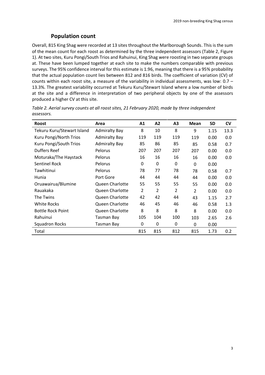### **Population count**

Overall, 815 King Shag were recorded at 13 sites throughout the Marlborough Sounds. This is the sum of the mean count for each roost as determined by the three independent assessors (Table 2, Figure 1). At two sites, Kuru Pongi/South Trios and Rahuinui, King Shag were roosting in two separate groups at. These have been lumped together at each site to make the numbers comparable with previous surveys. The 95% confidence interval for this estimate is 1.96, meaning that there is a 95% probability that the actual population count lies between 812 and 816 birds. The coefficient of variation (CV) of counts within each roost site, a measure of the variability in individual assessments, was low:  $0.7 -$ 13.3%. The greatest variability occurred at Tekuru Kuru/Stewart Island where a low number of birds at the site and a difference in interpretation of two peripheral objects by one of the assessors produced a higher CV at this site.

| <b>Roost</b>               | Area                 | A1             | A2             | A <sub>3</sub> | Mean           | <b>SD</b> | <b>CV</b> |
|----------------------------|----------------------|----------------|----------------|----------------|----------------|-----------|-----------|
| Tekuru Kuru/Stewart Island | <b>Admiralty Bay</b> | 8              | 10             | 8              | 9              | 1.15      | 13.3      |
| Kuru Pongi/North Trios     | <b>Admiralty Bay</b> | 119            | 119            | 119            | 119            | 0.00      | 0.0       |
| Kuru Pongi/South Trios     | <b>Admiralty Bay</b> | 85             | 86             | 85             | 85             | 0.58      | 0.7       |
| Duffers Reef               | Pelorus              | 207            | 207            | 207            | 207            | 0.00      | 0.0       |
| Moturaka/The Haystack      | Pelorus              | 16             | 16             | 16             | 16             | 0.00      | 0.0       |
| Sentinel Rock              | Pelorus              | 0              | 0              | 0              | 0              | 0.00      |           |
| Tawhitinui                 | Pelorus              | 78             | 77             | 78             | 78             | 0.58      | 0.7       |
| Hunia                      | Port Gore            | 44             | 44             | 44             | 44             | 0.00      | 0.0       |
| Oruawairua/Blumine         | Queen Charlotte      | 55             | 55             | 55             | 55             | 0.00      | 0.0       |
| Rauakaka                   | Queen Charlotte      | $\overline{2}$ | $\overline{2}$ | $\overline{2}$ | $\overline{2}$ | 0.00      | 0.0       |
| The Twins                  | Queen Charlotte      | 42             | 42             | 44             | 43             | 1.15      | 2.7       |
| <b>White Rocks</b>         | Queen Charlotte      | 46             | 45             | 46             | 46             | 0.58      | 1.3       |
| <b>Bottle Rock Point</b>   | Queen Charlotte      | 8              | 8              | 8              | 8              | 0.00      | 0.0       |
| Rahuinui                   | <b>Tasman Bay</b>    | 105            | 104            | 100            | 103            | 2.65      | 2.6       |
| <b>Squadron Rocks</b>      | <b>Tasman Bay</b>    | 0              | 0              | 0              | 0              | 0.00      |           |
| Total                      |                      | 815            | 815            | 812            | 815            | 1.73      | 0.2       |

*Table 2. Aerial survey counts at all roost sites, 21 February 2020, made by three independent assessors.*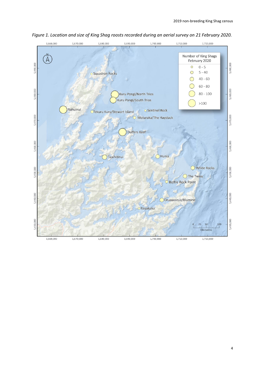

*Figure 1. Location and size of King Shag roosts recorded during an aerial survey on 21 February 2020.*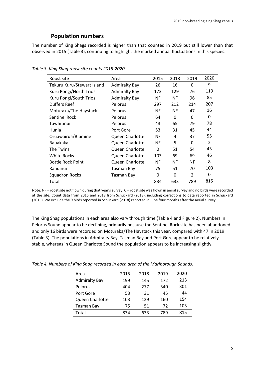### **Population numbers**

The number of King Shags recorded is higher than that counted in 2019 but still lower than that observed in 2015 (Table 3), continuing to highlight the marked annual fluctuations in this species.

| Roost site                 | Area                 | 2015      | 2018      | 2019           | 2020          |
|----------------------------|----------------------|-----------|-----------|----------------|---------------|
| Tekuru Kuru/Stewart Island | <b>Admiralty Bay</b> | 26        | 16        | 0              | 9             |
| Kuru Pongi/North Trios     | <b>Admiralty Bay</b> | 173       | 129       | 76             | 119           |
| Kuru Pongi/South Trios     | <b>Admiralty Bay</b> | NF        | <b>NF</b> | 96             | 85            |
| <b>Duffers Reef</b>        | Pelorus              | 297       | 212       | 214            | 207           |
| Moturaka/The Haystack      | Pelorus              | NF        | <b>NF</b> | 47             | 16            |
| Sentinel Rock              | Pelorus              | 64        | 0         | 0              | 0             |
| Tawhitinui                 | Pelorus              | 43        | 65        | 79             | 78            |
| Hunia                      | Port Gore            | 53        | 31        | 45             | 44            |
| Oruawairua/Blumine         | Queen Charlotte      | <b>NF</b> | 4         | 37             | 55            |
| Rauakaka                   | Queen Charlotte      | NF        | 5         | $\Omega$       | $\mathcal{P}$ |
| The Twins                  | Queen Charlotte      | 0         | 51        | 54             | 43            |
| White Rocks                | Queen Charlotte      | 103       | 69        | 69             | 46            |
| <b>Bottle Rock Point</b>   | Queen Charlotte      | NF.       | <b>NF</b> | NF             | 8             |
| Rahuinui                   | Tasman Bay           | 75        | 51        | 70             | 103           |
| <b>Squadron Rocks</b>      | Tasman Bay           | 0         | 0         | $\mathfrak{p}$ | 0             |
| Total                      |                      | 834       | 633       | 789            | 815           |

*Table 3. King Shag roost site counts 2015-2020.*

Note: NF = roost site not flown during that year's survey; 0 = roost site was flown in aerial survey and no birds were recorded at the site. Count data from 2015 and 2018 from Schuckard (2018), including corrections to data reported in Schuckard (2015). We exclude the 9 birds reported in Schuckard (2018) reported in June four months after the aerial survey.

The King Shag populations in each area also vary through time (Table 4 and Figure 2). Numbers in Pelorus Sound appear to be declining, primarily because the Sentinel Rock site has been abandoned and only 16 birds were recorded on Moturaka/The Haystack this year, compared with 47 in 2019 (Table 3). The populations in Admiralty Bay, Tasman Bay and Port Gore appear to be relatively stable, whereas in Queen Charlotte Sound the population appears to be increasing slightly.

| Area                 | 2015 | 2018 | 2019 | 2020 |
|----------------------|------|------|------|------|
| <b>Admiralty Bay</b> | 199  | 145  | 172  | 213  |
| Pelorus              | 404  | 277  | 340  | 301  |
| Port Gore            | 53   | 31   | 45   | 44   |
| Queen Charlotte      | 103  | 129  | 160  | 154  |
| Tasman Bay           | 75   | 51   | 72   | 103  |
| Total                | 834  | 633  | 789  | 815  |

*Table 4. Numbers of King Shag recorded in each area of the Marlborough Sounds.*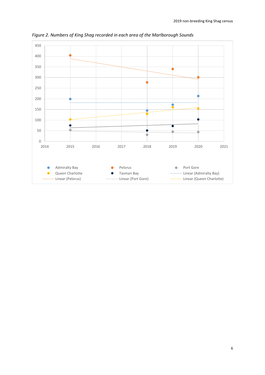

*Figure 2. Numbers of King Shag recorded in each area of the Marlborough Sounds*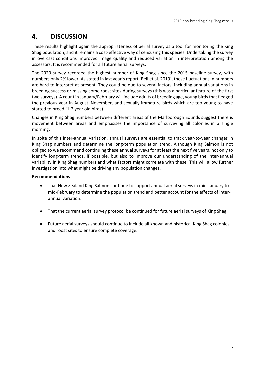## **4. DISCUSSION**

These results highlight again the appropriateness of aerial survey as a tool for monitoring the King Shag population, and it remains a cost-effective way of censusing this species. Undertaking the survey in overcast conditions improved image quality and reduced variation in interpretation among the assessors. It is recommended for all future aerial surveys.

The 2020 survey recorded the highest number of King Shag since the 2015 baseline survey, with numbers only 2% lower. As stated in last year's report (Bell et al. 2019), these fluctuations in numbers are hard to interpret at present. They could be due to several factors, including annual variations in breeding success or missing some roost sites during surveys (this was a particular feature of the first two surveys). A count in January/February will include adults of breeding age, young birds that fledged the previous year in August–November, and sexually immature birds which are too young to have started to breed (1-2 year old birds).

Changes in King Shag numbers between different areas of the Marlborough Sounds suggest there is movement between areas and emphasises the importance of surveying all colonies in a single morning.

In spite of this inter-annual variation, annual surveys are essential to track year-to-year changes in King Shag numbers and determine the long-term population trend. Although King Salmon is not obliged to we recommend continuing these annual surveys for at least the next five years, not only to identify long-term trends, if possible, but also to improve our understanding of the inter-annual variability in King Shag numbers and what factors might correlate with these. This will allow further investigation into what might be driving any population changes.

#### **Recommendations**

- That New Zealand King Salmon continue to support annual aerial surveys in mid-January to mid-February to determine the population trend and better account for the effects of interannual variation.
- That the current aerial survey protocol be continued for future aerial surveys of King Shag.
- Future aerial surveys should continue to include all known and historical King Shag colonies and roost sites to ensure complete coverage.